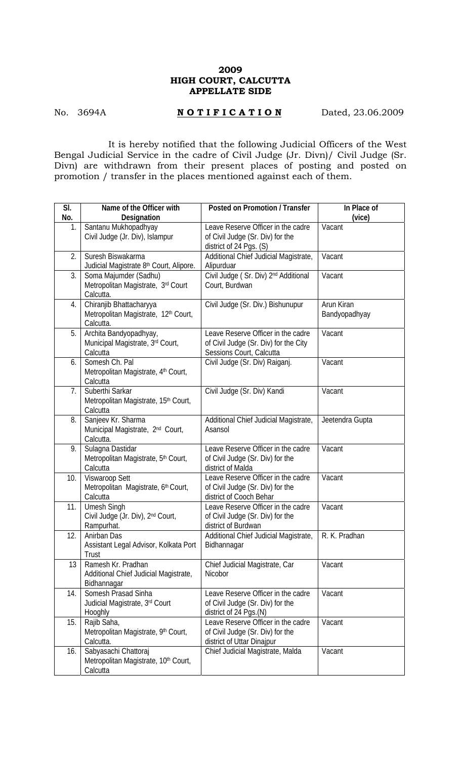## **2009 HIGH COURT, CALCUTTA APPELLATE SIDE**

## No. 3694A **NOTIFICATION** Dated, 23.06.2009

 It is hereby notified that the following Judicial Officers of the West Bengal Judicial Service in the cadre of Civil Judge (Jr. Divn)/ Civil Judge (Sr. Divn) are withdrawn from their present places of posting and posted on promotion / transfer in the places mentioned against each of them.

| SI. | Name of the Officer with                                                        | Posted on Promotion / Transfer                                                                          | In Place of                 |
|-----|---------------------------------------------------------------------------------|---------------------------------------------------------------------------------------------------------|-----------------------------|
| No. | Designation                                                                     |                                                                                                         | (vice)                      |
| 1.  | Santanu Mukhopadhyay<br>Civil Judge (Jr. Div), Islampur                         | Leave Reserve Officer in the cadre<br>of Civil Judge (Sr. Div) for the<br>district of 24 Pgs. (S)       | Vacant                      |
| 2.  | Suresh Biswakarma<br>Judicial Magistrate 8th Court, Alipore.                    | Additional Chief Judicial Magistrate,<br>Alipurduar                                                     | Vacant                      |
| 3.  | Soma Majumder (Sadhu)<br>Metropolitan Magistrate, 3rd Court<br>Calcutta.        | Civil Judge (Sr. Div) 2 <sup>nd</sup> Additional<br>Court, Burdwan                                      | Vacant                      |
| 4.  | Chiranjib Bhattacharyya<br>Metropolitan Magistrate, 12th Court,<br>Calcutta.    | Civil Judge (Sr. Div.) Bishunupur                                                                       | Arun Kiran<br>Bandyopadhyay |
| 5.  | Archita Bandyopadhyay,<br>Municipal Magistrate, 3rd Court,<br>Calcutta          | Leave Reserve Officer in the cadre<br>of Civil Judge (Sr. Div) for the City<br>Sessions Court, Calcutta | Vacant                      |
| 6.  | Somesh Ch. Pal<br>Metropolitan Magistrate, 4th Court,<br>Calcutta               | Civil Judge (Sr. Div) Raiganj.                                                                          | Vacant                      |
| 7.  | Suberthi Sarkar<br>Metropolitan Magistrate, 15th Court,<br>Calcutta             | Civil Judge (Sr. Div) Kandi                                                                             | Vacant                      |
| 8.  | Sanjeev Kr. Sharma<br>Municipal Magistrate, 2 <sup>nd</sup> Court,<br>Calcutta. | Additional Chief Judicial Magistrate,<br>Asansol                                                        | Jeetendra Gupta             |
| 9.  | Sulagna Dastidar<br>Metropolitan Magistrate, 5th Court,<br>Calcutta             | Leave Reserve Officer in the cadre<br>of Civil Judge (Sr. Div) for the<br>district of Malda             | Vacant                      |
| 10. | Viswaroop Sett<br>Metropolitan Magistrate, 6th Court,<br>Calcutta               | Leave Reserve Officer in the cadre<br>of Civil Judge (Sr. Div) for the<br>district of Cooch Behar       | Vacant                      |
| 11. | Umesh Singh<br>Civil Judge (Jr. Div), 2 <sup>nd</sup> Court,<br>Rampurhat.      | Leave Reserve Officer in the cadre<br>of Civil Judge (Sr. Div) for the<br>district of Burdwan           | Vacant                      |
| 12. | Anirban Das<br>Assistant Legal Advisor, Kolkata Port<br>Trust                   | Additional Chief Judicial Magistrate,<br>Bidhannagar                                                    | R. K. Pradhan               |
| 13  | Ramesh Kr. Pradhan<br>Additional Chief Judicial Magistrate,<br>Bidhannagar      | Chief Judicial Magistrate, Car<br>Nicobor                                                               | Vacant                      |
| 14. | Somesh Prasad Sinha<br>Judicial Magistrate, 3rd Court<br>Hooghly                | Leave Reserve Officer in the cadre<br>of Civil Judge (Sr. Div) for the<br>district of 24 Pgs.(N)        | Vacant                      |
| 15. | Rajib Saha,<br>Metropolitan Magistrate, 9th Court,<br>Calcutta.                 | Leave Reserve Officer in the cadre<br>of Civil Judge (Sr. Div) for the<br>district of Uttar Dinajpur    | Vacant                      |
| 16. | Sabyasachi Chattoraj<br>Metropolitan Magistrate, 10th Court,<br>Calcutta        | Chief Judicial Magistrate, Malda                                                                        | Vacant                      |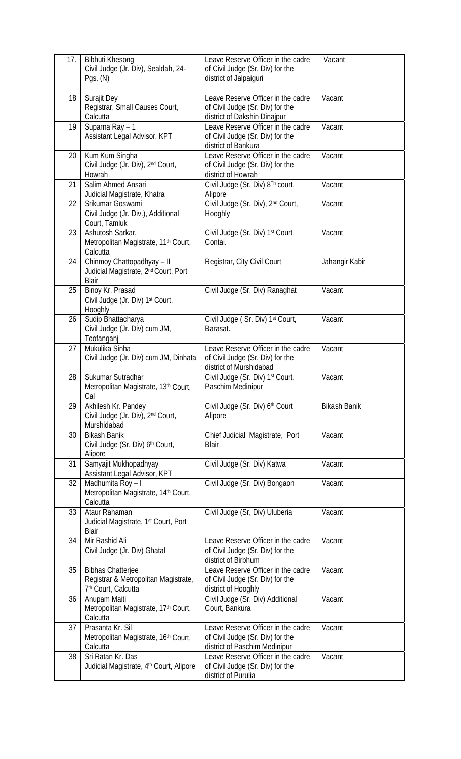| 17. | <b>Bibhuti Khesong</b><br>Civil Judge (Jr. Div), Sealdah, 24-<br>Pgs. $(N)$                         | Leave Reserve Officer in the cadre<br>of Civil Judge (Sr. Div) for the<br>district of Jalpaiguri        | Vacant              |
|-----|-----------------------------------------------------------------------------------------------------|---------------------------------------------------------------------------------------------------------|---------------------|
| 18  | Surajit Dey<br>Registrar, Small Causes Court,<br>Calcutta                                           | Leave Reserve Officer in the cadre<br>of Civil Judge (Sr. Div) for the<br>district of Dakshin Dinajpur  | Vacant              |
| 19  | Suparna Ray - 1<br>Assistant Legal Advisor, KPT                                                     | Leave Reserve Officer in the cadre<br>of Civil Judge (Sr. Div) for the<br>district of Bankura           | Vacant              |
| 20  | Kum Kum Singha<br>Civil Judge (Jr. Div), 2nd Court,<br>Howrah                                       | Leave Reserve Officer in the cadre<br>of Civil Judge (Sr. Div) for the<br>district of Howrah            | Vacant              |
| 21  | Salim Ahmed Ansari<br>Judicial Magistrate, Khatra                                                   | Civil Judge (Sr. Div) 8Th court,<br>Alipore                                                             | Vacant              |
| 22  | Srikumar Goswami<br>Civil Judge (Jr. Div.), Additional<br>Court, Tamluk                             | Civil Judge (Sr. Div), 2nd Court,<br>Hooghly                                                            | Vacant              |
| 23  | Ashutosh Sarkar,<br>Metropolitan Magistrate, 11 <sup>th</sup> Court,<br>Calcutta                    | Civil Judge (Sr. Div) 1st Court<br>Contai.                                                              | Vacant              |
| 24  | Chinmoy Chattopadhyay - II<br>Judicial Magistrate, 2 <sup>nd</sup> Court, Port<br>Blair             | Registrar, City Civil Court                                                                             | Jahangir Kabir      |
| 25  | Binoy Kr. Prasad<br>Civil Judge (Jr. Div) 1st Court,<br>Hooghly                                     | Civil Judge (Sr. Div) Ranaghat                                                                          | Vacant              |
| 26  | Sudip Bhattacharya<br>Civil Judge (Jr. Div) cum JM,<br>Toofanganj                                   | Civil Judge (Sr. Div) 1st Court,<br>Barasat.                                                            | Vacant              |
| 27  | Mukulika Sinha<br>Civil Judge (Jr. Div) cum JM, Dinhata                                             | Leave Reserve Officer in the cadre<br>of Civil Judge (Sr. Div) for the<br>district of Murshidabad       | Vacant              |
| 28  | Sukumar Sutradhar<br>Metropolitan Magistrate, 13th Court,<br>Cal                                    | Civil Judge (Sr. Div) 1st Court,<br>Paschim Medinipur                                                   | Vacant              |
| 29  | Akhilesh Kr. Pandey<br>Civil Judge (Jr. Div), 2nd Court,<br>Murshidabad                             | Civil Judge (Sr. Div) 6th Court<br>Alipore                                                              | <b>Bikash Banik</b> |
| 30  | <b>Bikash Banik</b><br>Civil Judge (Sr. Div) 6th Court,<br>Alipore                                  | Chief Judicial Magistrate, Port<br>Blair                                                                | Vacant              |
| 31  | Samyajit Mukhopadhyay<br>Assistant Legal Advisor, KPT                                               | Civil Judge (Sr. Div) Katwa                                                                             | Vacant              |
| 32  | Madhumita Roy - I<br>Metropolitan Magistrate, 14th Court,<br>Calcutta                               | Civil Judge (Sr. Div) Bongaon                                                                           | Vacant              |
| 33  | Ataur Rahaman<br>Judicial Magistrate, 1 <sup>st</sup> Court, Port<br>Blair                          | Civil Judge (Sr, Div) Uluberia                                                                          | Vacant              |
| 34  | Mir Rashid Ali<br>Civil Judge (Jr. Div) Ghatal                                                      | Leave Reserve Officer in the cadre<br>of Civil Judge (Sr. Div) for the<br>district of Birbhum           | Vacant              |
| 35  | <b>Bibhas Chatterjee</b><br>Registrar & Metropolitan Magistrate,<br>7 <sup>th</sup> Court, Calcutta | Leave Reserve Officer in the cadre<br>of Civil Judge (Sr. Div) for the<br>district of Hooghly           | Vacant              |
| 36  | Anupam Maiti<br>Metropolitan Magistrate, 17th Court,<br>Calcutta                                    | Civil Judge (Sr. Div) Additional<br>Court, Bankura                                                      | Vacant              |
| 37  | Prasanta Kr. Sil<br>Metropolitan Magistrate, 16th Court,<br>Calcutta                                | Leave Reserve Officer in the cadre<br>of Civil Judge (Sr. Div) for the<br>district of Paschim Medinipur | Vacant              |
| 38  | Sri Ratan Kr. Das<br>Judicial Magistrate, 4 <sup>th</sup> Court, Alipore                            | Leave Reserve Officer in the cadre<br>of Civil Judge (Sr. Div) for the<br>district of Purulia           | Vacant              |